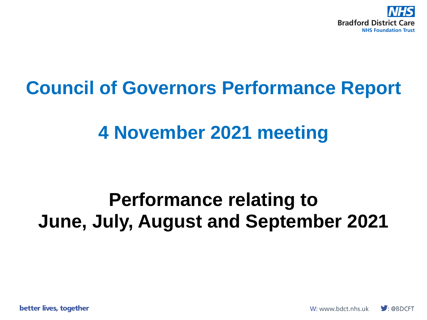

#### **Council of Governors Performance Report**

#### **4 November 2021 meeting**

#### **Performance relating to June, July, August and September 2021**

better lives, together

W: www.bdct.nhs.uk  $\bigtriangledown$ : @BDCFT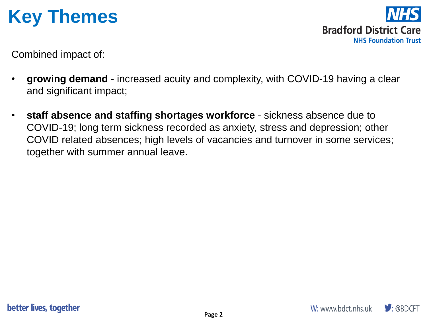#### **Key Themes**

**Bradford District Care NHS Foundation Trust** 

Combined impact of:

- **growing demand**  increased acuity and complexity, with COVID-19 having a clear and significant impact;
- **staff absence and staffing shortages workforce**  sickness absence due to COVID-19; long term sickness recorded as anxiety, stress and depression; other COVID related absences; high levels of vacancies and turnover in some services; together with summer annual leave.

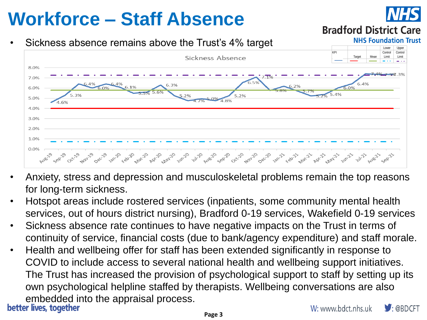# **Workforce – Staff Absence**

#### • Sickness absence remains above the Trust's 4% target



- Anxiety, stress and depression and musculoskeletal problems remain the top reasons for long-term sickness.
- Hotspot areas include rostered services (inpatients, some community mental health services, out of hours district nursing), Bradford 0-19 services, Wakefield 0-19 services
- Sickness absence rate continues to have negative impacts on the Trust in terms of continuity of service, financial costs (due to bank/agency expenditure) and staff morale.
- Health and wellbeing offer for staff has been extended significantly in response to COVID to include access to several national health and wellbeing support initiatives. The Trust has increased the provision of psychological support to staff by setting up its own psychological helpline staffed by therapists. Wellbeing conversations are also embedded into the appraisal process.<br>better lives, together  $\blacktriangleright$  : @BDCFT





**Bradford District Care** 

**NHS Foundation Trust**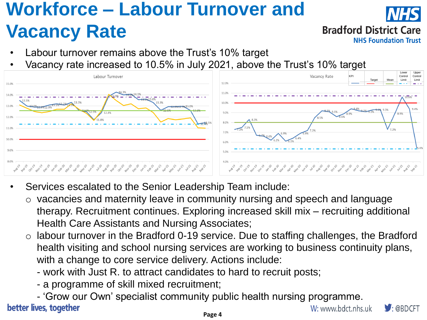### **Workforce – Labour Turnover and Vacancy Rate**

**Bradford District Care** 

**NHS Foundation Trust** 

- Labour turnover remains above the Trust's 10% target
- Vacancy rate increased to 10.5% in July 2021, above the Trust's 10% target



- Services escalated to the Senior Leadership Team include:
	- o vacancies and maternity leave in community nursing and speech and language therapy. Recruitment continues. Exploring increased skill mix – recruiting additional Health Care Assistants and Nursing Associates;
	- labour turnover in the Bradford 0-19 service. Due to staffing challenges, the Bradford health visiting and school nursing services are working to business continuity plans, with a change to core service delivery. Actions include:
		- work with Just R. to attract candidates to hard to recruit posts;
		- a programme of skill mixed recruitment;
- 'Grow our Own' specialist community public health nursing programme. better lives, together

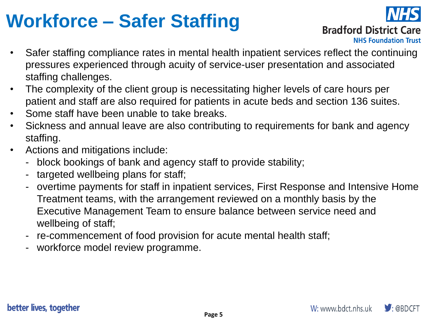## **Workforce – Safer Staffing**



**Bradford District Care** 

**NHS Foundation Trust** 

- Safer staffing compliance rates in mental health inpatient services reflect the continuing pressures experienced through acuity of service-user presentation and associated staffing challenges.
- The complexity of the client group is necessitating higher levels of care hours per patient and staff are also required for patients in acute beds and section 136 suites.
- Some staff have been unable to take breaks.
- Sickness and annual leave are also contributing to requirements for bank and agency staffing.
- Actions and mitigations include:
	- block bookings of bank and agency staff to provide stability;
	- targeted wellbeing plans for staff;
	- overtime payments for staff in inpatient services, First Response and Intensive Home Treatment teams, with the arrangement reviewed on a monthly basis by the Executive Management Team to ensure balance between service need and wellbeing of staff;
	- re-commencement of food provision for acute mental health staff;
	- workforce model review programme.

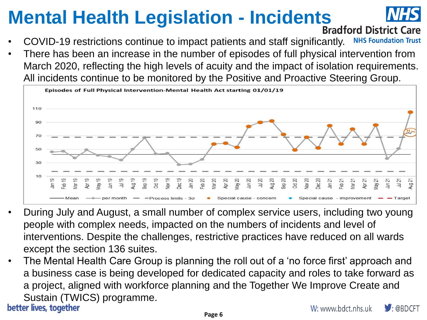# **Mental Health Legislation - Incidents**<br>**Bradford District Care**



- COVID-19 restrictions continue to impact patients and staff significantly. **NHS Foundation Trust**
- There has been an increase in the number of episodes of full physical intervention from March 2020, reflecting the high levels of acuity and the impact of isolation requirements. All incidents continue to be monitored by the Positive and Proactive Steering Group.



- During July and August, a small number of complex service users, including two young people with complex needs, impacted on the numbers of incidents and level of interventions. Despite the challenges, restrictive practices have reduced on all wards except the section 136 suites.
- The Mental Health Care Group is planning the roll out of a 'no force first' approach and a business case is being developed for dedicated capacity and roles to take forward as a project, aligned with workforce planning and the Together We Improve Create and Sustain (TWICS) programme.<br>better lives, together